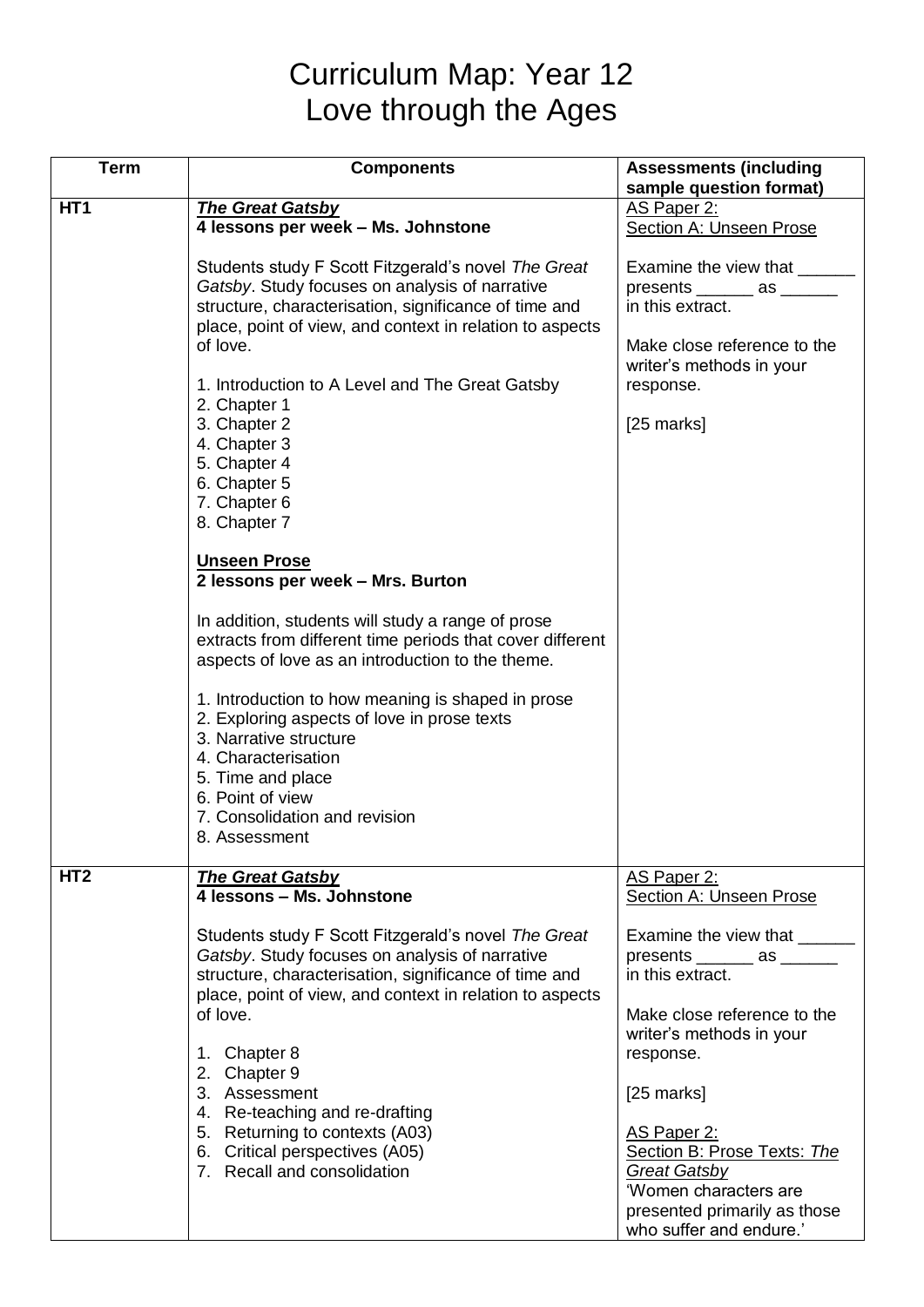## Curriculum Map: Year 12 Love through the Ages

| <b>Term</b>     | <b>Components</b>                                         | <b>Assessments (including</b>  |
|-----------------|-----------------------------------------------------------|--------------------------------|
|                 |                                                           | sample question format)        |
| HT <sub>1</sub> | <b>The Great Gatsby</b>                                   | AS Paper 2:                    |
|                 | 4 lessons per week - Ms. Johnstone                        | <b>Section A: Unseen Prose</b> |
|                 |                                                           |                                |
|                 | Students study F Scott Fitzgerald's novel The Great       | Examine the view that ______   |
|                 | Gatsby. Study focuses on analysis of narrative            | $p$ resents _______ as ______  |
|                 | structure, characterisation, significance of time and     | in this extract.               |
|                 | place, point of view, and context in relation to aspects  |                                |
|                 | of love.                                                  | Make close reference to the    |
|                 |                                                           | writer's methods in your       |
|                 | 1. Introduction to A Level and The Great Gatsby           | response.                      |
|                 | 2. Chapter 1                                              |                                |
|                 | 3. Chapter 2                                              | $[25$ marks]                   |
|                 | 4. Chapter 3                                              |                                |
|                 | 5. Chapter 4                                              |                                |
|                 | 6. Chapter 5                                              |                                |
|                 | 7. Chapter 6                                              |                                |
|                 | 8. Chapter 7                                              |                                |
|                 |                                                           |                                |
|                 | <b>Unseen Prose</b>                                       |                                |
|                 | 2 lessons per week - Mrs. Burton                          |                                |
|                 |                                                           |                                |
|                 | In addition, students will study a range of prose         |                                |
|                 | extracts from different time periods that cover different |                                |
|                 | aspects of love as an introduction to the theme.          |                                |
|                 |                                                           |                                |
|                 | 1. Introduction to how meaning is shaped in prose         |                                |
|                 | 2. Exploring aspects of love in prose texts               |                                |
|                 | 3. Narrative structure                                    |                                |
|                 | 4. Characterisation                                       |                                |
|                 | 5. Time and place                                         |                                |
|                 | 6. Point of view                                          |                                |
|                 | 7. Consolidation and revision                             |                                |
|                 | 8. Assessment                                             |                                |
|                 |                                                           |                                |
| HT <sub>2</sub> | <b>The Great Gatsby</b>                                   | AS Paper 2:                    |
|                 | 4 lessons - Ms. Johnstone                                 | <b>Section A: Unseen Prose</b> |
|                 |                                                           |                                |
|                 | Students study F Scott Fitzgerald's novel The Great       | Examine the view that _______  |
|                 | Gatsby. Study focuses on analysis of narrative            | $p$ resents _______ as ______  |
|                 | structure, characterisation, significance of time and     | in this extract.               |
|                 | place, point of view, and context in relation to aspects  |                                |
|                 | of love.                                                  | Make close reference to the    |
|                 |                                                           | writer's methods in your       |
|                 | 1. Chapter 8                                              | response.                      |
|                 | 2. Chapter 9                                              |                                |
|                 | 3. Assessment                                             | $[25$ marks]                   |
|                 | 4. Re-teaching and re-drafting                            |                                |
|                 | 5. Returning to contexts (A03)                            | AS Paper 2:                    |
|                 | 6. Critical perspectives (A05)                            | Section B: Prose Texts: The    |
|                 | 7. Recall and consolidation                               | <b>Great Gatsby</b>            |
|                 |                                                           | 'Women characters are          |
|                 |                                                           | presented primarily as those   |
|                 |                                                           | who suffer and endure.'        |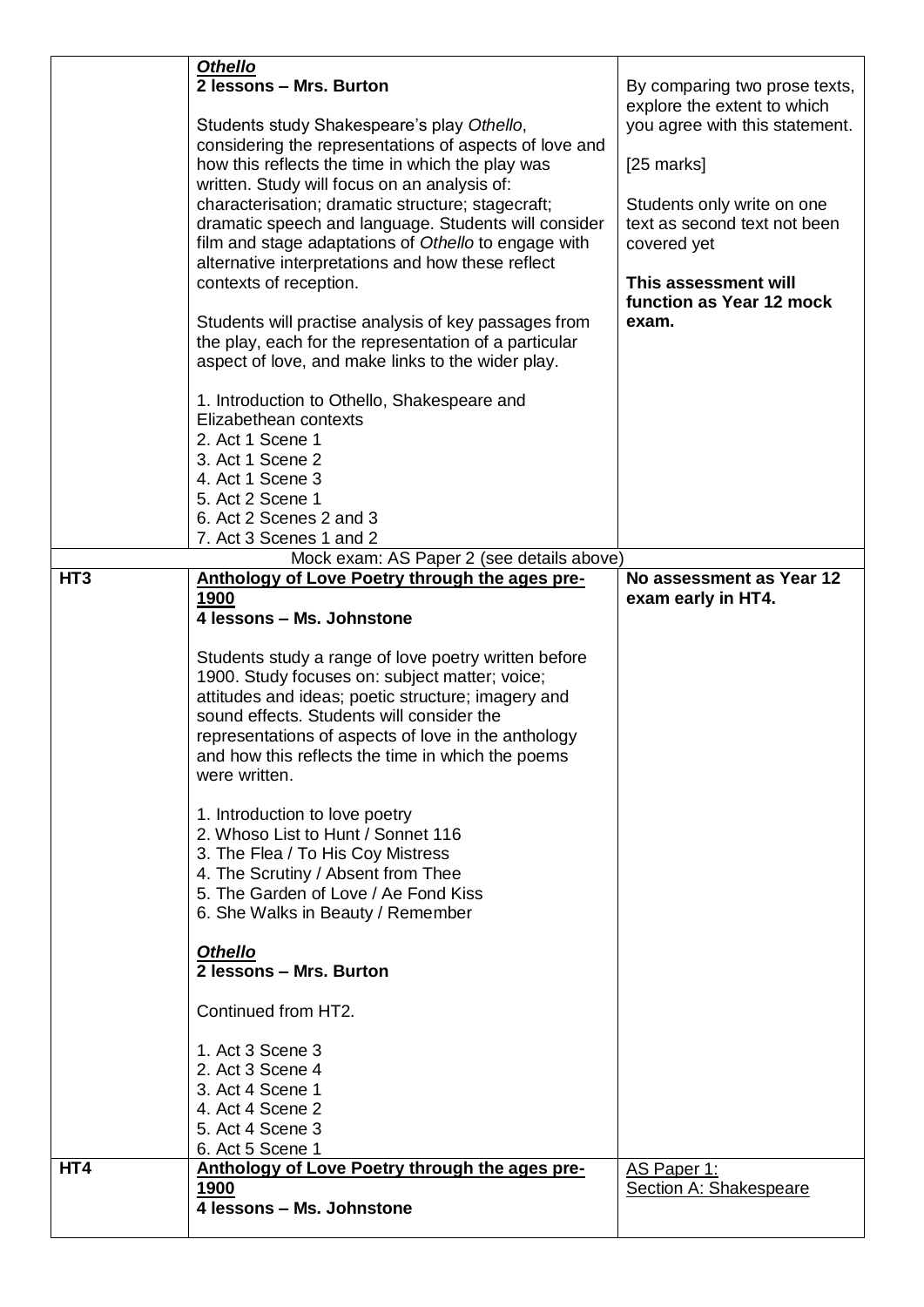|                 | <b>Othello</b>                                         |                                |
|-----------------|--------------------------------------------------------|--------------------------------|
|                 | 2 lessons - Mrs. Burton                                | By comparing two prose texts,  |
|                 |                                                        | explore the extent to which    |
|                 | Students study Shakespeare's play Othello,             | you agree with this statement. |
|                 | considering the representations of aspects of love and |                                |
|                 | how this reflects the time in which the play was       | [25 marks]                     |
|                 | written. Study will focus on an analysis of:           |                                |
|                 | characterisation; dramatic structure; stagecraft;      | Students only write on one     |
|                 | dramatic speech and language. Students will consider   | text as second text not been   |
|                 | film and stage adaptations of Othello to engage with   | covered yet                    |
|                 | alternative interpretations and how these reflect      |                                |
|                 | contexts of reception.                                 | This assessment will           |
|                 |                                                        | function as Year 12 mock       |
|                 | Students will practise analysis of key passages from   | exam.                          |
|                 | the play, each for the representation of a particular  |                                |
|                 | aspect of love, and make links to the wider play.      |                                |
|                 |                                                        |                                |
|                 | 1. Introduction to Othello, Shakespeare and            |                                |
|                 | Elizabethean contexts                                  |                                |
|                 | 2. Act 1 Scene 1                                       |                                |
|                 | 3. Act 1 Scene 2                                       |                                |
|                 | 4. Act 1 Scene 3                                       |                                |
|                 | 5. Act 2 Scene 1                                       |                                |
|                 | 6. Act 2 Scenes 2 and 3                                |                                |
|                 | 7. Act 3 Scenes 1 and 2                                |                                |
|                 | Mock exam: AS Paper 2 (see details above)              |                                |
| HT <sub>3</sub> | Anthology of Love Poetry through the ages pre-         | No assessment as Year 12       |
|                 | 1900                                                   | exam early in HT4.             |
|                 | 4 lessons - Ms. Johnstone                              |                                |
|                 |                                                        |                                |
|                 | Students study a range of love poetry written before   |                                |
|                 | 1900. Study focuses on: subject matter; voice;         |                                |
|                 | attitudes and ideas; poetic structure; imagery and     |                                |
|                 | sound effects. Students will consider the              |                                |
|                 | representations of aspects of love in the anthology    |                                |
|                 | and how this reflects the time in which the poems      |                                |
|                 | were written.                                          |                                |
|                 |                                                        |                                |
|                 | 1. Introduction to love poetry                         |                                |
|                 | 2. Whoso List to Hunt / Sonnet 116                     |                                |
|                 | 3. The Flea / To His Coy Mistress                      |                                |
|                 | 4. The Scrutiny / Absent from Thee                     |                                |
|                 | 5. The Garden of Love / Ae Fond Kiss                   |                                |
|                 |                                                        |                                |
|                 | 6. She Walks in Beauty / Remember                      |                                |
|                 |                                                        |                                |
|                 | <b>Othello</b>                                         |                                |
|                 | 2 lessons - Mrs. Burton                                |                                |
|                 | Continued from HT2.                                    |                                |
|                 |                                                        |                                |
|                 | 1. Act 3 Scene 3                                       |                                |
|                 | 2. Act 3 Scene 4                                       |                                |
|                 | 3. Act 4 Scene 1                                       |                                |
|                 | 4. Act 4 Scene 2                                       |                                |
|                 | 5. Act 4 Scene 3                                       |                                |
|                 | 6. Act 5 Scene 1                                       |                                |
| HT4             | Anthology of Love Poetry through the ages pre-         | AS Paper 1:                    |
|                 | 1900                                                   | Section A: Shakespeare         |
|                 | 4 lessons - Ms. Johnstone                              |                                |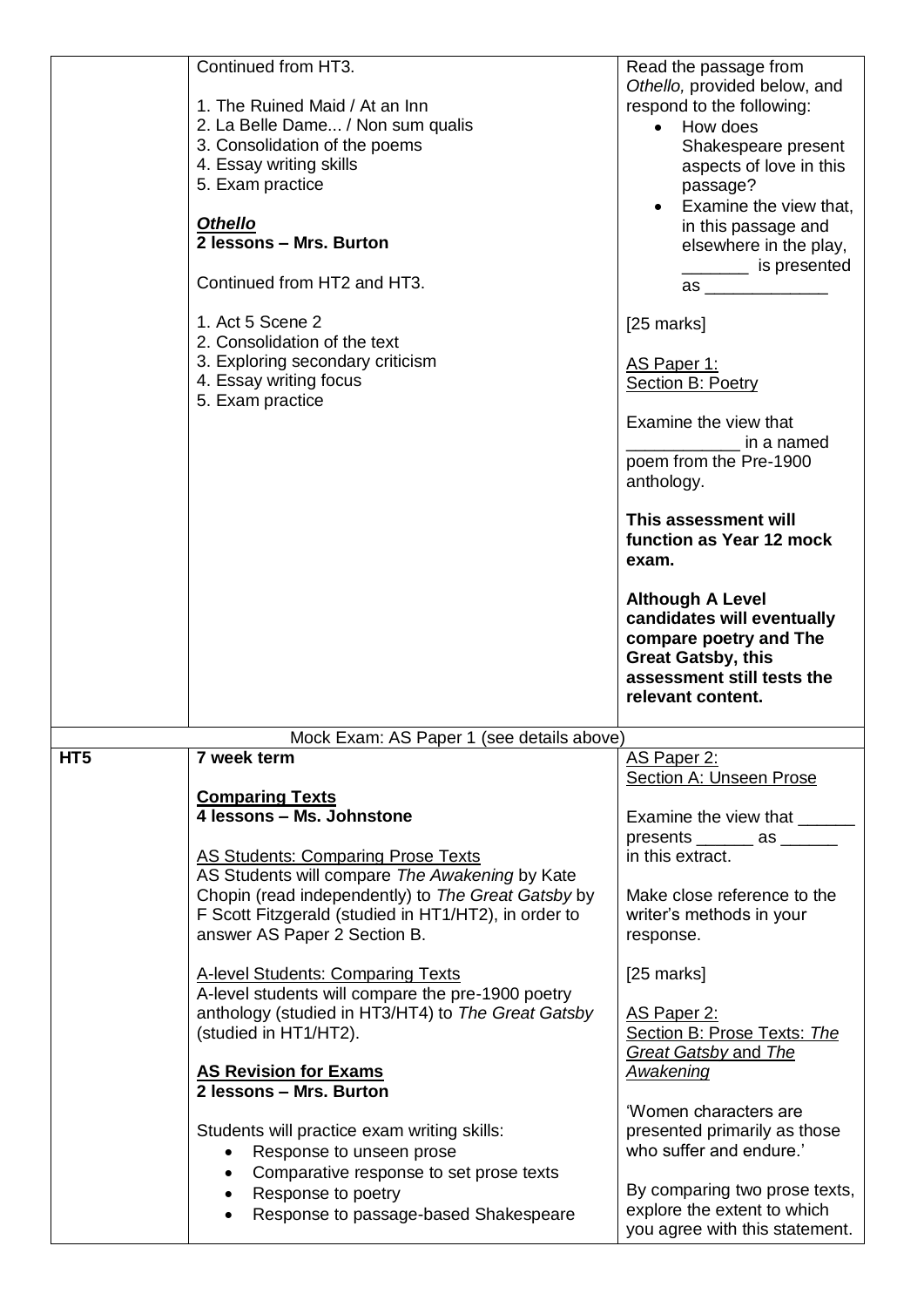|                 | Continued from HT3.<br>1. The Ruined Maid / At an Inn<br>2. La Belle Dame / Non sum qualis<br>3. Consolidation of the poems<br>4. Essay writing skills<br>5. Exam practice<br><b>Othello</b><br>2 lessons - Mrs. Burton<br>Continued from HT2 and HT3.<br>1. Act 5 Scene 2<br>2. Consolidation of the text<br>3. Exploring secondary criticism<br>4. Essay writing focus<br>5. Exam practice | Read the passage from<br>Othello, provided below, and<br>respond to the following:<br>How does<br>$\bullet$<br>Shakespeare present<br>aspects of love in this<br>passage?<br>Examine the view that,<br>$\bullet$<br>in this passage and<br>elsewhere in the play,<br>_________ is presented<br>[25 marks]<br>AS Paper 1:<br><b>Section B: Poetry</b><br>Examine the view that<br>in a named<br>poem from the Pre-1900<br>anthology.<br>This assessment will<br>function as Year 12 mock<br>exam.<br><b>Although A Level</b><br>candidates will eventually<br>compare poetry and The<br><b>Great Gatsby, this</b> |
|-----------------|----------------------------------------------------------------------------------------------------------------------------------------------------------------------------------------------------------------------------------------------------------------------------------------------------------------------------------------------------------------------------------------------|------------------------------------------------------------------------------------------------------------------------------------------------------------------------------------------------------------------------------------------------------------------------------------------------------------------------------------------------------------------------------------------------------------------------------------------------------------------------------------------------------------------------------------------------------------------------------------------------------------------|
|                 |                                                                                                                                                                                                                                                                                                                                                                                              | assessment still tests the<br>relevant content.                                                                                                                                                                                                                                                                                                                                                                                                                                                                                                                                                                  |
|                 |                                                                                                                                                                                                                                                                                                                                                                                              |                                                                                                                                                                                                                                                                                                                                                                                                                                                                                                                                                                                                                  |
|                 | Mock Exam: AS Paper 1 (see details above)                                                                                                                                                                                                                                                                                                                                                    |                                                                                                                                                                                                                                                                                                                                                                                                                                                                                                                                                                                                                  |
| HT <sub>5</sub> | 7 week term                                                                                                                                                                                                                                                                                                                                                                                  | AS Paper 2:                                                                                                                                                                                                                                                                                                                                                                                                                                                                                                                                                                                                      |
|                 |                                                                                                                                                                                                                                                                                                                                                                                              | <b>Section A: Unseen Prose</b>                                                                                                                                                                                                                                                                                                                                                                                                                                                                                                                                                                                   |
|                 | <b>Comparing Texts</b><br>4 lessons - Ms. Johnstone                                                                                                                                                                                                                                                                                                                                          | Examine the view that ______                                                                                                                                                                                                                                                                                                                                                                                                                                                                                                                                                                                     |
|                 |                                                                                                                                                                                                                                                                                                                                                                                              | presents _______ as _____                                                                                                                                                                                                                                                                                                                                                                                                                                                                                                                                                                                        |
|                 | AS Students: Comparing Prose Texts                                                                                                                                                                                                                                                                                                                                                           | in this extract.                                                                                                                                                                                                                                                                                                                                                                                                                                                                                                                                                                                                 |
|                 | AS Students will compare The Awakening by Kate                                                                                                                                                                                                                                                                                                                                               |                                                                                                                                                                                                                                                                                                                                                                                                                                                                                                                                                                                                                  |
|                 | Chopin (read independently) to The Great Gatsby by<br>F Scott Fitzgerald (studied in HT1/HT2), in order to                                                                                                                                                                                                                                                                                   | Make close reference to the<br>writer's methods in your                                                                                                                                                                                                                                                                                                                                                                                                                                                                                                                                                          |
|                 | answer AS Paper 2 Section B.                                                                                                                                                                                                                                                                                                                                                                 | response.                                                                                                                                                                                                                                                                                                                                                                                                                                                                                                                                                                                                        |
|                 |                                                                                                                                                                                                                                                                                                                                                                                              |                                                                                                                                                                                                                                                                                                                                                                                                                                                                                                                                                                                                                  |
|                 | <b>A-level Students: Comparing Texts</b><br>A-level students will compare the pre-1900 poetry                                                                                                                                                                                                                                                                                                | $[25$ marks]                                                                                                                                                                                                                                                                                                                                                                                                                                                                                                                                                                                                     |
|                 | anthology (studied in HT3/HT4) to The Great Gatsby                                                                                                                                                                                                                                                                                                                                           | AS Paper 2:                                                                                                                                                                                                                                                                                                                                                                                                                                                                                                                                                                                                      |
|                 | (studied in HT1/HT2).                                                                                                                                                                                                                                                                                                                                                                        | Section B: Prose Texts: The                                                                                                                                                                                                                                                                                                                                                                                                                                                                                                                                                                                      |
|                 | <b>AS Revision for Exams</b>                                                                                                                                                                                                                                                                                                                                                                 | <b>Great Gatsby and The</b><br>Awakening                                                                                                                                                                                                                                                                                                                                                                                                                                                                                                                                                                         |
|                 | 2 lessons - Mrs. Burton                                                                                                                                                                                                                                                                                                                                                                      |                                                                                                                                                                                                                                                                                                                                                                                                                                                                                                                                                                                                                  |
|                 |                                                                                                                                                                                                                                                                                                                                                                                              | 'Women characters are                                                                                                                                                                                                                                                                                                                                                                                                                                                                                                                                                                                            |
|                 | Students will practice exam writing skills:                                                                                                                                                                                                                                                                                                                                                  | presented primarily as those<br>who suffer and endure.'                                                                                                                                                                                                                                                                                                                                                                                                                                                                                                                                                          |
|                 | Response to unseen prose<br>$\bullet$<br>Comparative response to set prose texts                                                                                                                                                                                                                                                                                                             |                                                                                                                                                                                                                                                                                                                                                                                                                                                                                                                                                                                                                  |
|                 | Response to poetry                                                                                                                                                                                                                                                                                                                                                                           | By comparing two prose texts,                                                                                                                                                                                                                                                                                                                                                                                                                                                                                                                                                                                    |
|                 | Response to passage-based Shakespeare                                                                                                                                                                                                                                                                                                                                                        | explore the extent to which<br>you agree with this statement.                                                                                                                                                                                                                                                                                                                                                                                                                                                                                                                                                    |
|                 |                                                                                                                                                                                                                                                                                                                                                                                              |                                                                                                                                                                                                                                                                                                                                                                                                                                                                                                                                                                                                                  |